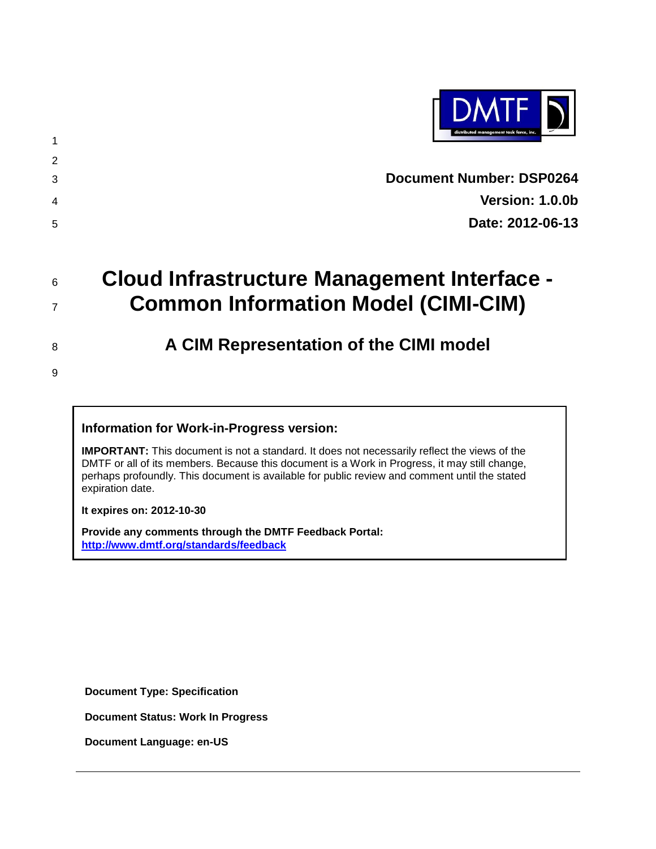

| <b>Document Number: DSP0264</b> |                  |
|---------------------------------|------------------|
|                                 | Version: 1.0.0b  |
|                                 | Date: 2012-06-13 |
|                                 |                  |

# <sup>6</sup> **Cloud Infrastructure Management Interface -** <sup>7</sup> **Common Information Model (CIMI-CIM)**

9

1  $\overline{2}$ 

## <sup>8</sup> **A CIM Representation of the CIMI model**

### **Information for Work-in-Progress version:**

**IMPORTANT:** This document is not a standard. It does not necessarily reflect the views of the DMTF or all of its members. Because this document is a Work in Progress, it may still change, perhaps profoundly. This document is available for public review and comment until the stated expiration date.

**It expires on: 2012-10-30**

**Provide any comments through the DMTF Feedback Portal: <http://www.dmtf.org/standards/feedback>**

**Document Type: Specification**

**Document Status: Work In Progress**

**Document Language: en-US**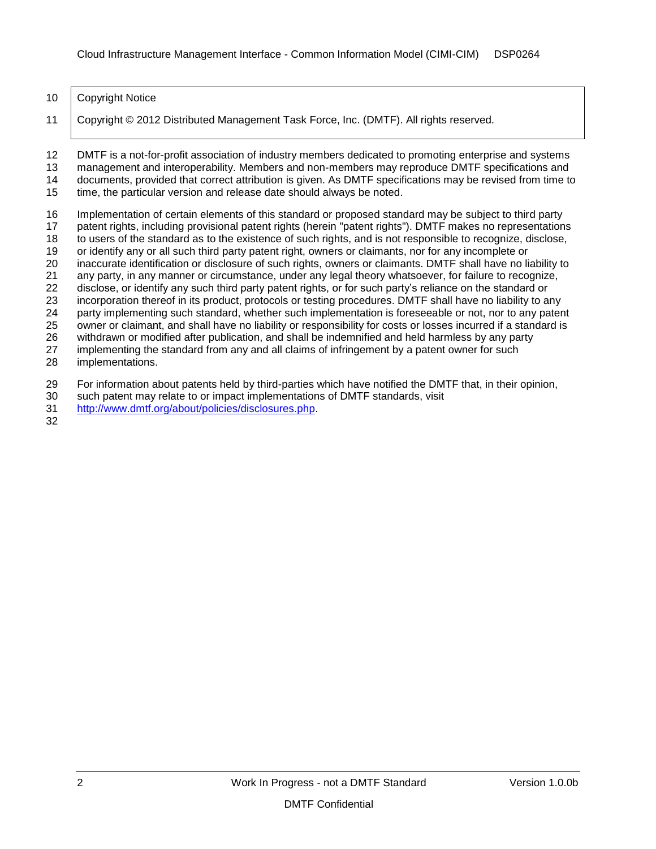10 | Copyright Notice

Copyright © 2012 Distributed Management Task Force, Inc. (DMTF). All rights reserved.

 DMTF is a not-for-profit association of industry members dedicated to promoting enterprise and systems management and interoperability. Members and non-members may reproduce DMTF specifications and documents, provided that correct attribution is given. As DMTF specifications may be revised from time to time, the particular version and release date should always be noted.

Implementation of certain elements of this standard or proposed standard may be subject to third party

patent rights, including provisional patent rights (herein "patent rights"). DMTF makes no representations

 to users of the standard as to the existence of such rights, and is not responsible to recognize, disclose, or identify any or all such third party patent right, owners or claimants, nor for any incomplete or

inaccurate identification or disclosure of such rights, owners or claimants. DMTF shall have no liability to

any party, in any manner or circumstance, under any legal theory whatsoever, for failure to recognize,

22 disclose, or identify any such third party patent rights, or for such party's reliance on the standard or<br>23 incorporation thereof in its product, protocols or testing procedures. DMTF shall have no liability to a incorporation thereof in its product, protocols or testing procedures. DMTF shall have no liability to any

party implementing such standard, whether such implementation is foreseeable or not, nor to any patent

owner or claimant, and shall have no liability or responsibility for costs or losses incurred if a standard is

withdrawn or modified after publication, and shall be indemnified and held harmless by any party

implementing the standard from any and all claims of infringement by a patent owner for such

implementations.

For information about patents held by third-parties which have notified the DMTF that, in their opinion,

- such patent may relate to or impact implementations of DMTF standards, visit
- [http://www.dmtf.org/about/policies/disclosures.php.](http://www.dmtf.org/about/policies/disclosures.php)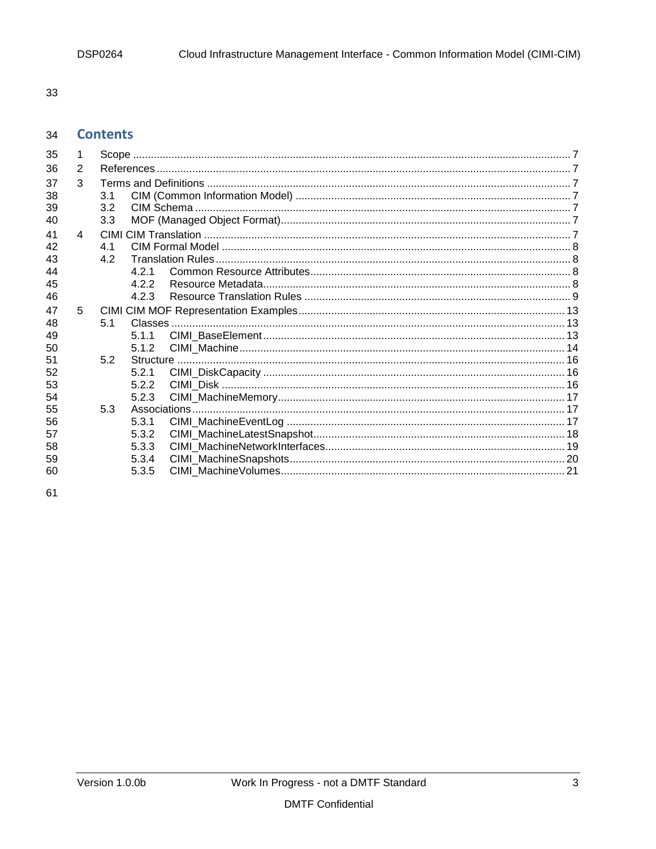33

#### **Contents** 34

| 35 |                |                |       |  |
|----|----------------|----------------|-------|--|
| 36 | 2              |                |       |  |
| 37 | 3              |                |       |  |
| 38 |                | 3.1            |       |  |
| 39 |                | 3.2            |       |  |
| 40 |                | 3.3            |       |  |
| 41 | $\overline{4}$ |                |       |  |
| 42 |                | 4 <sub>1</sub> |       |  |
| 43 |                | 42             |       |  |
| 44 |                |                | 4.2.1 |  |
| 45 |                |                | 4.2.2 |  |
| 46 |                |                | 4.2.3 |  |
| 47 | 5              |                |       |  |
| 48 |                | 5.1            |       |  |
| 49 |                |                | 511   |  |
| 50 |                |                | 5.1.2 |  |
| 51 |                | 52             |       |  |
| 52 |                |                | 5.2.1 |  |
| 53 |                |                | 5.2.2 |  |
| 54 |                |                | 5.2.3 |  |
| 55 |                | 5.3            |       |  |
| 56 |                |                | 5.3.1 |  |
| 57 |                |                | 5.3.2 |  |
| 58 |                |                | 5.3.3 |  |
| 59 |                |                | 5.3.4 |  |
| 60 |                |                | 5.3.5 |  |

61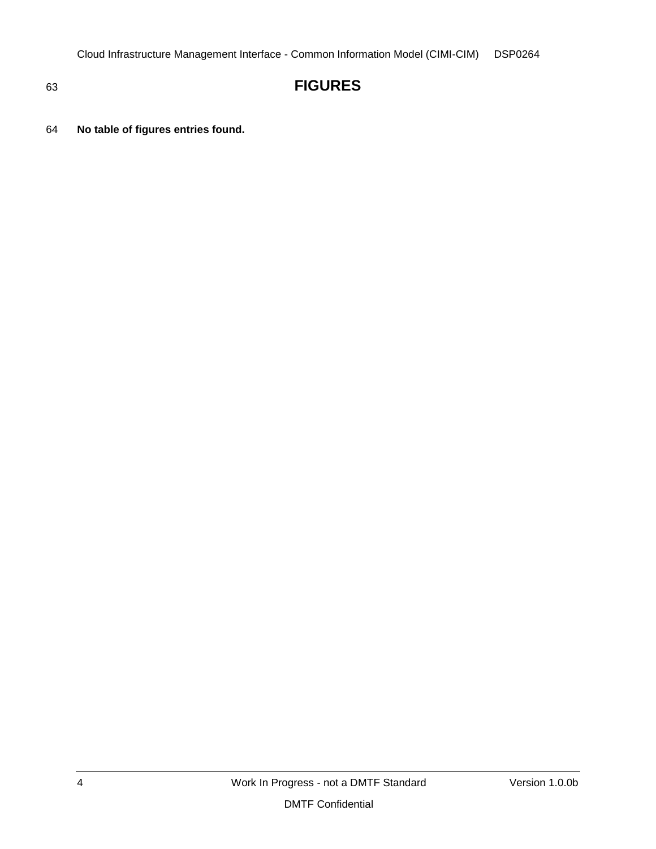### 63 **FIGURES**

64 **No table of figures entries found.**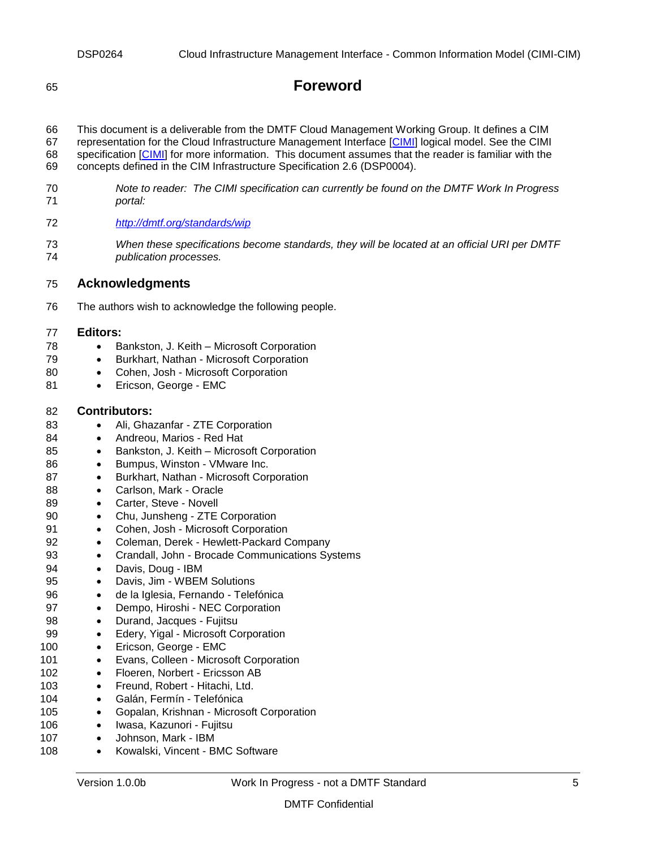### 65 **Foreword**

 This document is a deliverable from the DMTF Cloud Management Working Group. It defines a CIM 67 representation for the Cloud Infrastructure Management Interface [\[CIMI\]](#page-6-7) logical model. See the CIMI specification [\[CIMI\]](#page-6-7) for more information. This document assumes that the reader is familiar with the concepts defined in the CIM Infrastructure Specification 2.6 (DSP0004).

- 70 *Note to reader: The CIMI specification can currently be found on the DMTF Work In Progress*  71 *portal:*
- 72 *<http://dmtf.org/standards/wip>*
- 73 *When these specifications become standards, they will be located at an official URI per DMTF*  74 *publication processes.*

#### 75 **Acknowledgments**

76 The authors wish to acknowledge the following people.

#### 77 **Editors:**

- 78 Bankston, J. Keith Microsoft Corporation
- 79 **Burkhart, Nathan Microsoft Corporation**
- 80 Cohen, Josh Microsoft Corporation
- 81 Ericson, George EMC

#### 82 **Contributors:**

- 83 **•** Ali, Ghazanfar ZTE Corporation
- 84 Andreou, Marios Red Hat
- 85 **Bankston, J. Keith Microsoft Corporation**
- 86 Bumpus, Winston VMware Inc.
- 87 Burkhart, Nathan Microsoft Corporation
- 88 Carlson, Mark Oracle
- 89 Carter, Steve Novell
- 90 Chu, Junsheng ZTE Corporation
- 91 **Cohen, Josh Microsoft Corporation**
- 92 Coleman, Derek Hewlett-Packard Company
- 93 Crandall, John Brocade Communications Systems
- 94 · Davis, Doug IBM
- 95 Davis, Jim WBEM Solutions
- 96 **··** de la Iglesia, Fernando Telefónica
- 97 Dempo, Hiroshi NEC Corporation
- 98 Durand, Jacques Fujitsu
- 99 **Edery, Yigal Microsoft Corporation**
- 100 · Ericson, George EMC
- 101 Evans, Colleen Microsoft Corporation
- 102 Floeren, Norbert Ericsson AB
- 103 Freund, Robert Hitachi, Ltd.
- 104 · Galán, Fermín Telefónica
- 105 · Gopalan, Krishnan Microsoft Corporation
- 106 · Iwasa, Kazunori Fujitsu
- 107 · Johnson, Mark IBM
- 108 · Kowalski, Vincent BMC Software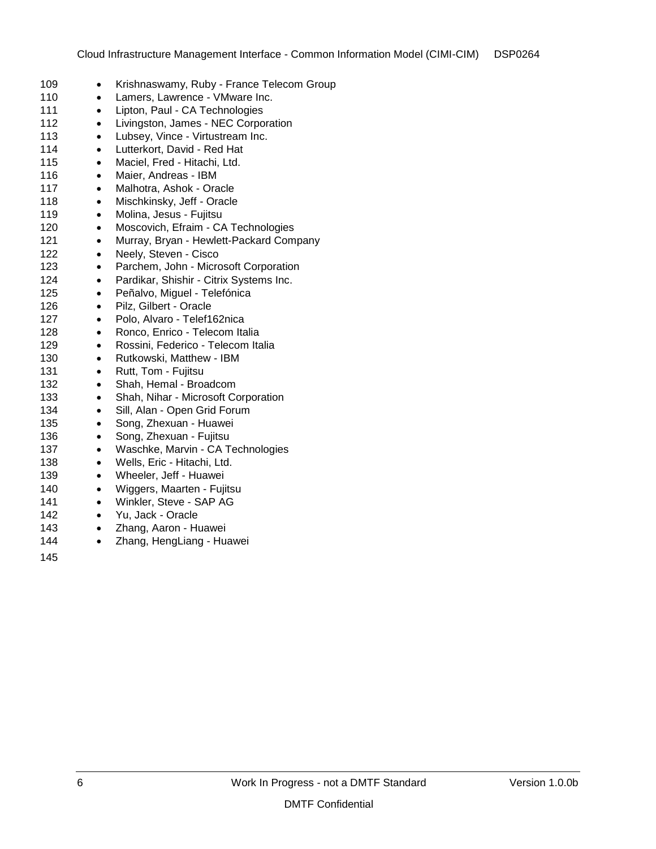109 • Krishnaswamy, Ruby - France Telecom Group 110 • Lamers, Lawrence - VMware Inc. 111 • Lipton, Paul - CA Technologies 112 • Livingston, James - NEC Corporation 113 • Lubsey, Vince - Virtustream Inc. 114 · Lutterkort, David - Red Hat 115 • Maciel, Fred - Hitachi, Ltd. 116 · Maier, Andreas - IBM 117 · Malhotra, Ashok - Oracle 118 · Mischkinsky, Jeff - Oracle 119 · Molina, Jesus - Fujitsu 120 • Moscovich, Efraim - CA Technologies 121 • Murray, Bryan - Hewlett-Packard Company 122 • Neely, Steven - Cisco 123 • Parchem, John - Microsoft Corporation 124 • Pardikar, Shishir - Citrix Systems Inc. 125 · Peñalvo, Miguel - Telefónica 126 · Pilz, Gilbert - Oracle 127 · Polo, Alvaro - Telef162nica 128 · Ronco, Enrico - Telecom Italia 129 · Rossini, Federico - Telecom Italia 130 · Rutkowski, Matthew - IBM 131 · Rutt, Tom - Fujitsu 132 • Shah, Hemal - Broadcom 133 • Shah, Nihar - Microsoft Corporation 134 • Sill, Alan - Open Grid Forum 135 · Song, Zhexuan - Huawei 136 · Song, Zhexuan - Fujitsu 137 • Waschke, Marvin - CA Technologies 138 • Wells, Eric - Hitachi, Ltd. 139 • Wheeler, Jeff - Huawei 140 • Wiggers, Maarten - Fujitsu 141 • Winkler, Steve - SAP AG 142 · Yu, Jack - Oracle 143 · Zhang, Aaron - Huawei 144 • Zhang, HengLiang - Huawei

145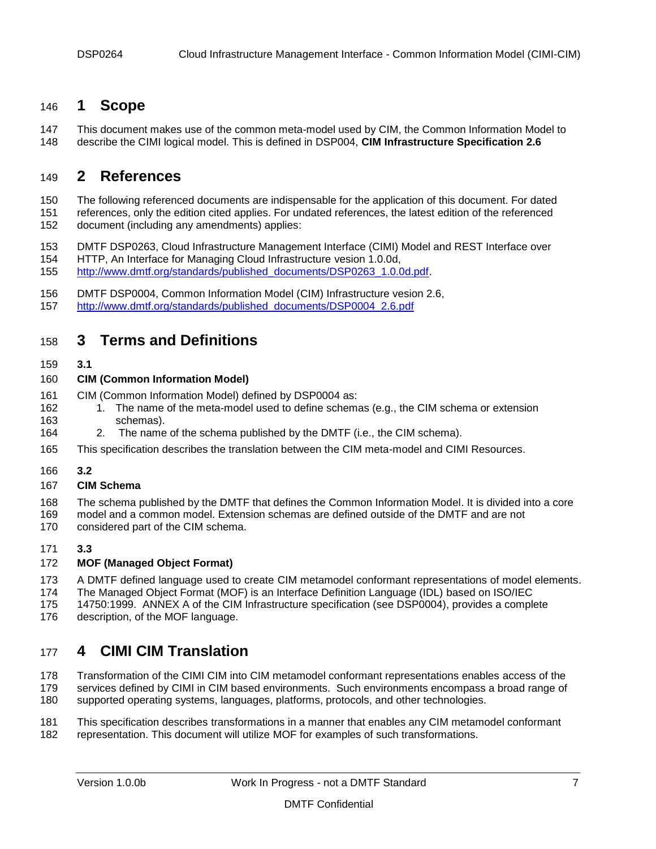### <span id="page-6-0"></span>**1 Scope**

 This document makes use of the common meta-model used by CIM, the Common Information Model to describe the CIMI logical model. This is defined in DSP004, **CIM Infrastructure Specification 2.6**

### <span id="page-6-1"></span>**2 References**

 The following referenced documents are indispensable for the application of this document. For dated references, only the edition cited applies. For undated references, the latest edition of the referenced

- document (including any amendments) applies:
- <span id="page-6-7"></span>DMTF DSP0263, Cloud Infrastructure Management Interface (CIMI) Model and REST Interface over
- HTTP, An Interface for Managing Cloud Infrastructure vesion 1.0.0d,
- [http://www.dmtf.org/standards/published\\_documents/DSP0263\\_1.0.0d.pdf.](http://www.dmtf.org/standards/published_documents/DSP0263_1.0.0d.pdf)
- <span id="page-6-8"></span>DMTF DSP0004, Common Information Model (CIM) Infrastructure vesion 2.6,
- <span id="page-6-2"></span>[http://www.dmtf.org/standards/published\\_documents/DSP0004\\_2.6.pdf](http://www.dmtf.org/standards/published_documents/DSP0004_2.6.pdf)

### **3 Terms and Definitions**

**3.1**

#### <span id="page-6-3"></span>**CIM (Common Information Model)**

- CIM (Common Information Model) defined by DSP0004 as:
- 162 1. The name of the meta-model used to define schemas (e.g., the CIM schema or extension schemas).
- 2. The name of the schema published by the DMTF (i.e., the CIM schema).
- This specification describes the translation between the CIM meta-model and CIMI Resources.
- <span id="page-6-4"></span>**3.2**

#### **CIM Schema**

- The schema published by the DMTF that defines the Common Information Model. It is divided into a core
- model and a common model. Extension schemas are defined outside of the DMTF and are not
- considered part of the CIM schema.
- **3.3**

#### <span id="page-6-5"></span>**MOF (Managed Object Format)**

- A DMTF defined language used to create [CIM](#page-6-3) metamodel conformant representations of model elements.
- The Managed Object Format (MOF) is an Interface Definition Language (IDL) based on ISO/IEC
- 14750:1999. ANNEX A of the CIM Infrastructure specification (see [DSP0004\)](#page-6-8), provides a complete
- <span id="page-6-6"></span>description, of the MOF language.

### **4 CIMI CIM Translation**

- Transformation of the CIMI CIM into CIM metamodel conformant representations enables access of the
- services defined by CIMI in CIM based environments. Such environments encompass a broad range of
- supported operating systems, languages, platforms, protocols, and other technologies.
- This specification describes transformations in a manner that enables any CIM metamodel conformant
- representation. This document will utilize [MOF](#page-6-5) for examples of such transformations.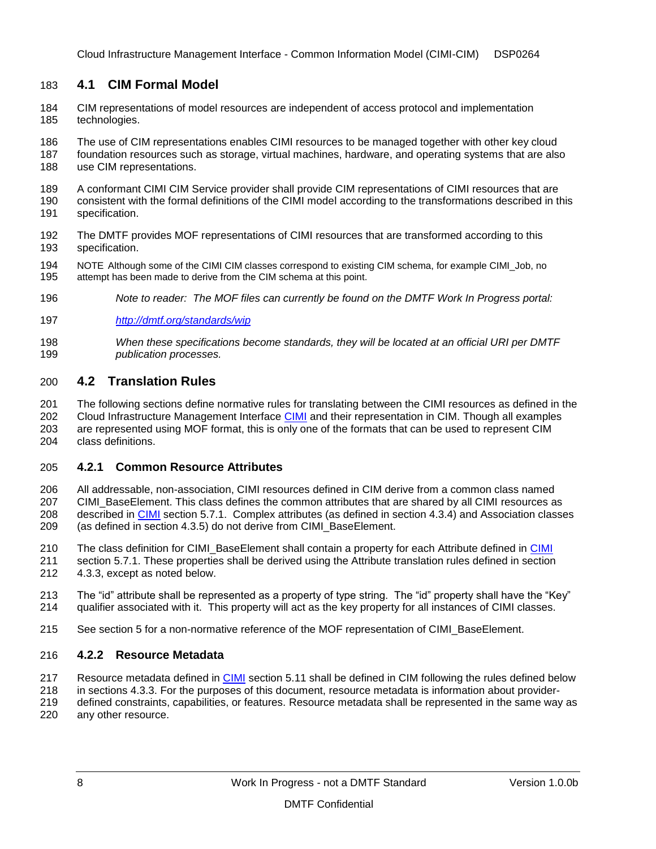#### <span id="page-7-0"></span>**4.1 CIM Formal Model**

- CIM representations of model resources are independent of access protocol and implementation technologies.
- The use of CIM representations enables CIMI resources to be managed together with other key cloud
- foundation resources such as storage, virtual machines, hardware, and operating systems that are also use CIM representations.
- A conformant CIMI CIM Service provider shall provide CIM representations of CIMI resources that are consistent with the formal definitions of the CIMI model according to the transformations described in this specification.
- The DMTF provides [MOF](#page-6-5) representations of CIMI resources that are transformed according to this specification.
- NOTE Although some of the CIMI CIM classes correspond to existing CIM schema, for example CIMI\_Job, no attempt has been made to derive from the CIM schema at this point.
- *Note to reader: The MOF files can currently be found on the DMTF Work In Progress portal:*
- *<http://dmtf.org/standards/wip>*
- *When these specifications become standards, they will be located at an official URI per DMTF publication processes.*

#### <span id="page-7-1"></span>**4.2 Translation Rules**

 The following sections define normative rules for translating between the CIMI resources as defined in the 202 Cloud Infrastructure Management Interface [CIMI](#page-6-7) and their representation in [CIM.](#page-6-3) Though all examples are represented using MOF format, this is only one of the formats that can be used to represent CIM class definitions.

#### <span id="page-7-2"></span>**4.2.1 Common Resource Attributes**

 All addressable, non-association, CIMI resources defined in CIM derive from a common class named 207 CIMI\_BaseElement. This class defines the common attributes that are shared by all CIMI resources as described in [CIMI](#page-6-7) section 5.7.1. Complex attributes (as defined in section 4.3.4) and Association classes (as defined in section 4.3.5) do not derive from CIMI\_BaseElement.

- 210 The class definition for [CIMI](#page-6-7)\_BaseElement shall contain a property for each Attribute defined in CIMI
- section 5.7.1. These properties shall be derived using the Attribute translation rules defined in section 4.3.3, except as noted below.
- The "id" attribute shall be represented as a property of type string. The "id" property shall have the "Key" qualifier associated with it. This property will act as the key property for all instances of CIMI classes.
- <span id="page-7-3"></span>See section 5 for a non-normative reference of the MOF representation of CIMI\_BaseElement.

#### **4.2.2 Resource Metadata**

- 217 Resource metadata defined in [CIMI](#page-6-7) section 5.11 shall be defined in CIM following the rules defined below
- in sections 4.3.3. For the purposes of this document, resource metadata is information about provider-
- defined constraints, capabilities, or features. Resource metadata shall be represented in the same way as any other resource.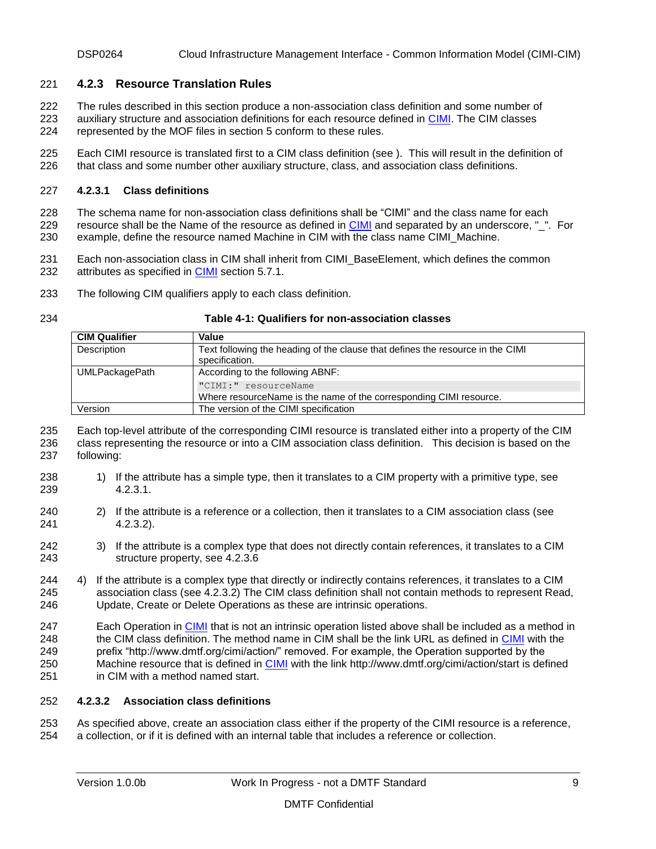#### <span id="page-8-0"></span>221 **4.2.3 Resource Translation Rules**

222 The rules described in this section produce a non-association class definition and some number of 223 auxiliary structure and association definitions for each resource defined in [CIMI.](#page-6-7) The CIM classes

- 224 represented by the MOF files in section 5 conform to these rules.
- 225 Each CIMI resource is translated first to a CIM class definition (see ). This will result in the definition of 226 that class and some number other auxiliary structure, class, and association class definitions.

#### <span id="page-8-1"></span>227 **4.2.3.1 Class definitions**

228 The schema name for non-association class definitions shall be "CIMI" and the class name for each 229 resource shall be the Name of the resource as defined in [CIMI](#page-6-7) and separated by an underscore, "\_". For 230 example, define the resource named Machine in CIM with the class name CIMI\_Machine.

- 231 Each non-association class in CIM shall inherit from CIMI\_BaseElement, which defines the common 232 attributes as specified in [CIMI](#page-6-7) section 5.7.1.
- 233 The following CIM qualifiers apply to each class definition.

| 234 | Table 4-1: Qualifiers for non-association classes |
|-----|---------------------------------------------------|
|     |                                                   |

| <b>CIM Qualifier</b>  | Value                                                                          |
|-----------------------|--------------------------------------------------------------------------------|
| Description           | Text following the heading of the clause that defines the resource in the CIMI |
|                       | specification.                                                                 |
| <b>UMLPackagePath</b> | According to the following ABNF:                                               |
|                       | "CIMI:" resourceName                                                           |
|                       | Where resource Name is the name of the corresponding CIMI resource.            |
| Version               | The version of the CIMI specification                                          |

235 Each top-level attribute of the corresponding CIMI resource is translated either into a property of the CIM 236 class representing the resource or into a CIM association class definition. This decision is based on the 237 following:

- 238 1) If the attribute has a simple type, then it translates to a CIM property with a primitive type, see 239 [4.2.3.1.](#page-8-1)
- 240 2) If the attribute is a reference or a collection, then it translates to a CIM association class (see 241 [4.2.3.2\)](#page-8-2).
- 242 3) If the attribute is a complex type that does not directly contain references, it translates to a CIM 243 structure property, see [4.2.3.6](#page-11-0)
- 244 4) If the attribute is a complex type that directly or indirectly contains references, it translates to a CIM 245 association class (see [4.2.3.2\)](#page-8-2) The CIM class definition shall not contain methods to represent Read, 246 Update, Create or Delete Operations as these are intrinsic operations.

247 Each Operation in [CIMI](#page-6-7) that is not an intrinsic operation listed above shall be included as a method in 248 the CIM class definition. The method name in CIM shall be the link URL as defined in [CIMI](#page-6-7) with the 249 prefix "http://www.dmtf.org/cimi/action/" removed. For example, the Operation supported by the 250 Machine resource that is defined in [CIMI](#page-6-7) with the link http://www.dmtf.org/cimi/action/start is defined 251 in CIM with a method named start.

#### <span id="page-8-2"></span>252 **4.2.3.2 Association class definitions**

253 As specified above, create an association class either if the property of the CIMI resource is a reference, 254 a collection, or if it is defined with an internal table that includes a reference or collection.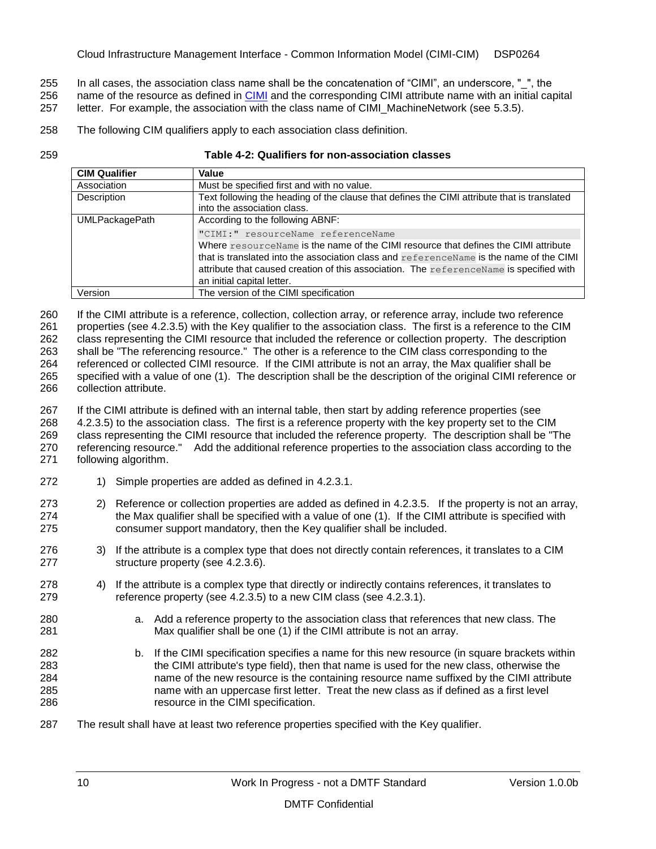#### Cloud Infrastructure Management Interface - Common Information Model (CIMI-CIM) DSP0264

- 255 In all cases, the association class name shall be the concatenation of "CIMI", an underscore, " ", the
- 256 name of the resource as defined in [CIMI](#page-6-7) and the corresponding CIMI attribute name with an initial capital
- letter. For example, the association with the class name of CIMI\_MachineNetwork (see [5.3.5\)](#page-20-0).
- The following CIM qualifiers apply to each association class definition.
- 

#### **Table 4-2: Qualifiers for non-association classes**

| <b>CIM Qualifier</b>  | Value                                                                                                                      |
|-----------------------|----------------------------------------------------------------------------------------------------------------------------|
| Association           | Must be specified first and with no value.                                                                                 |
| Description           | Text following the heading of the clause that defines the CIMI attribute that is translated<br>into the association class. |
| <b>UMLPackagePath</b> | According to the following ABNF:                                                                                           |
|                       | "CIMI:" resourceName referenceName                                                                                         |
|                       | Where resourceName is the name of the CIMI resource that defines the CIMI attribute                                        |
|                       | that is translated into the association class and referenceName is the name of the CIMI                                    |
|                       | attribute that caused creation of this association. The referenceName is specified with                                    |
|                       | an initial capital letter.                                                                                                 |
| Version               | The version of the CIMI specification                                                                                      |

 If the CIMI attribute is a reference, collection, collection array, or reference array, include two reference properties (see [4.2.3.5\)](#page-11-1) with the Key qualifier to the association class. The first is a reference to the CIM class representing the CIMI resource that included the reference or collection property. The description shall be "The referencing resource." The other is a reference to the CIM class corresponding to the referenced or collected CIMI resource. If the CIMI attribute is not an array, the Max qualifier shall be specified with a value of one (1). The description shall be the description of the original CIMI reference or collection attribute.

 If the CIMI attribute is defined with an internal table, then start by adding reference properties (see [4.2.3.5\)](#page-11-1) to the association class. The first is a reference property with the key property set to the CIM class representing the CIMI resource that included the reference property. The description shall be "The referencing resource." Add the additional reference properties to the association class according to the following algorithm.

- 272 1) Simple properties are added as defined in [4.2.3.1.](#page-8-1)
- 2) Reference or collection properties are added as defined in [4.2.3.5.](#page-11-1) If the property is not an array, the Max qualifier shall be specified with a value of one (1). If the CIMI attribute is specified with consumer support mandatory, then the Key qualifier shall be included.
- 276 3) If the attribute is a complex type that does not directly contain references, it translates to a CIM 277 structure property (see [4.2.3.6\)](#page-11-0).
- 4) If the attribute is a complex type that directly or indirectly contains references, it translates to reference property (see [4.2.3.5\)](#page-11-1) to a new CIM class (see [4.2.3.1\)](#page-8-1).
- a. Add a reference property to the association class that references that new class. The Max qualifier shall be one (1) if the CIMI attribute is not an array.
- b. If the CIMI specification specifies a name for this new resource (in square brackets within the CIMI attribute's type field), then that name is used for the new class, otherwise the name of the new resource is the containing resource name suffixed by the CIMI attribute name with an uppercase first letter. Treat the new class as if defined as a first level resource in the CIMI specification.
- The result shall have at least two reference properties specified with the Key qualifier.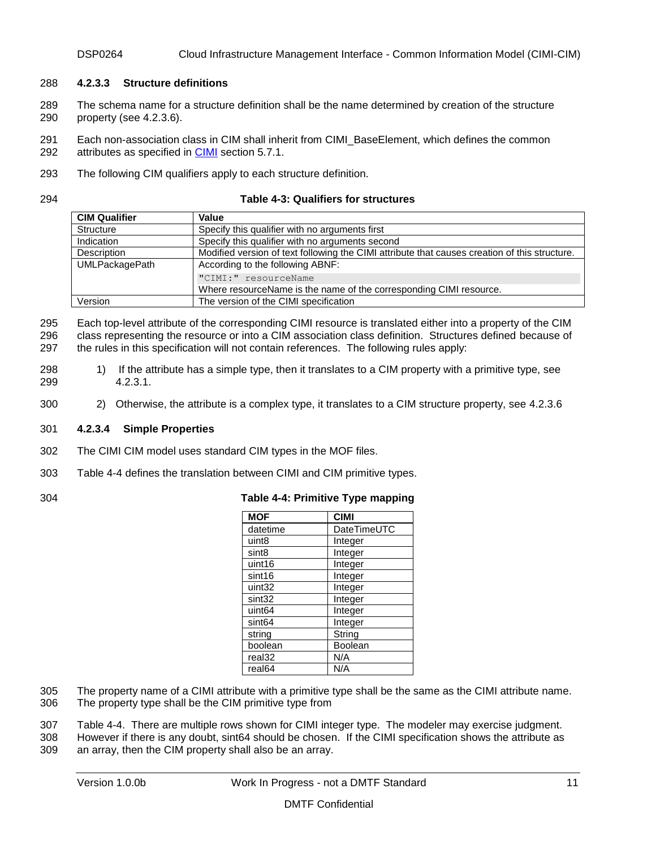<span id="page-10-1"></span>DSP0264 Cloud Infrastructure Management Interface - Common Information Model (CIMI-CIM)

#### 288 **4.2.3.3 Structure definitions**

- 289 The schema name for a structure definition shall be the name determined by creation of the structure 290 property (see [4.2.3.6\)](#page-11-0).
- 291 Each non-association class in CIM shall inherit from CIMI\_BaseElement, which defines the common
- 292 attributes as specified in [CIMI](#page-6-7) section 5.7.1.
- 293 The following CIM qualifiers apply to each structure definition.
- 

#### 294 **Table 4-3: Qualifiers for structures**

| <b>CIM Qualifier</b>  | Value                                                                                         |
|-----------------------|-----------------------------------------------------------------------------------------------|
| <b>Structure</b>      | Specify this qualifier with no arguments first                                                |
| Indication            | Specify this qualifier with no arguments second                                               |
| <b>Description</b>    | Modified version of text following the CIMI attribute that causes creation of this structure. |
| <b>UMLPackagePath</b> | According to the following ABNF:                                                              |
|                       | "CIMI:" resourceName                                                                          |
|                       | Where resourceName is the name of the corresponding CIMI resource.                            |
| Version               | The version of the CIMI specification                                                         |

295 Each top-level attribute of the corresponding CIMI resource is translated either into a property of the CIM 296 class representing the resource or into a CIM association class definition. Structures defined because of 297 the rules in this specification will not contain references. The following rules apply:

- 298 1) If the attribute has a simple type, then it translates to a CIM property with a primitive type, see 299 [4.2.3.1.](#page-8-1)
- 300 2) Otherwise, the attribute is a complex type, it translates to a CIM structure property, see [4.2.3.6](#page-11-0)

#### 301 **4.2.3.4 Simple Properties**

- 302 The CIMI CIM model uses standard CIM types in the MOF files.
- 303 [Table 4-4](#page-10-0) defines the translation between CIMI and CIM primitive types.
- 

| 304 | Table 4-4: Primitive Type mapping |
|-----|-----------------------------------|
|     |                                   |

<span id="page-10-0"></span>

| <b>MOF</b>         | <b>CIMI</b> |
|--------------------|-------------|
| datetime           | DateTimeUTC |
| uint8              | Integer     |
| sint8              | Integer     |
| uint16             | Integer     |
| sint <sub>16</sub> | Integer     |
| uint32             | Integer     |
| sint32             | Integer     |
| uint64             | Integer     |
| sint <sub>64</sub> | Integer     |
| string             | String      |
| boolean            | Boolean     |
| real32             | N/A         |
| real64             | N/A         |

305 The property name of a CIMI attribute with a primitive type shall be the same as the CIMI attribute name. 306 The property type shall be the CIM primitive type from

307 [Table 4-4.](#page-10-0) There are multiple rows shown for CIMI integer type. The modeler may exercise judgment. 308 However if there is any doubt, sint64 should be chosen. If the CIMI specification shows the attribute as

309 an array, then the CIM property shall also be an array.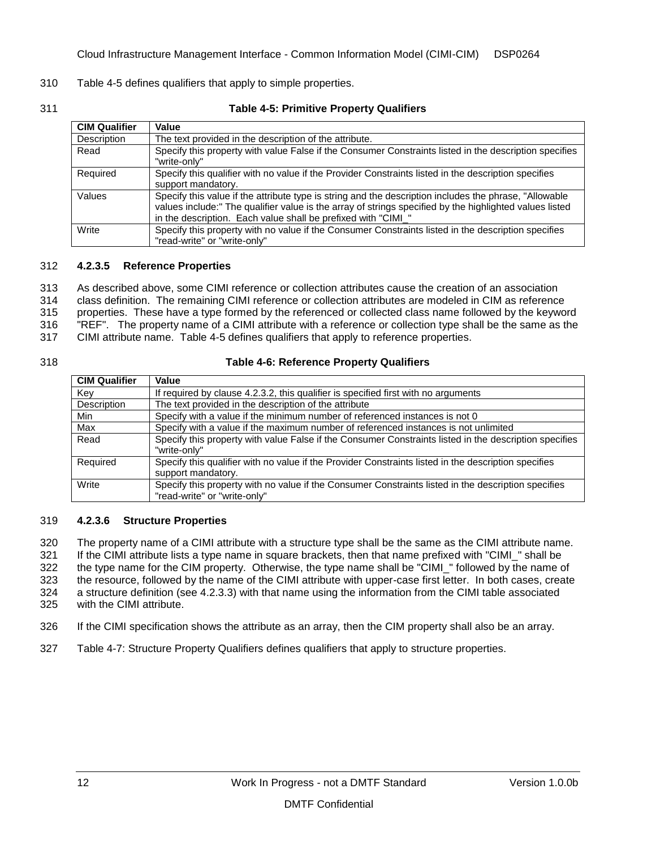- 310 [Table 4-5](#page-11-2) defines qualifiers that apply to simple properties.
- 

#### 311 **Table 4-5: Primitive Property Qualifiers**

<span id="page-11-2"></span>

| <b>CIM Qualifier</b> | Value                                                                                                   |
|----------------------|---------------------------------------------------------------------------------------------------------|
| Description          | The text provided in the description of the attribute.                                                  |
| Read                 | Specify this property with value False if the Consumer Constraints listed in the description specifies  |
|                      | "write-only"                                                                                            |
| Required             | Specify this qualifier with no value if the Provider Constraints listed in the description specifies    |
|                      | support mandatory.                                                                                      |
| Values               | Specify this value if the attribute type is string and the description includes the phrase, "Allowable  |
|                      | values include:" The qualifier value is the array of strings specified by the highlighted values listed |
|                      | in the description. Each value shall be prefixed with "CIMI_"                                           |
| Write                | Specify this property with no value if the Consumer Constraints listed in the description specifies     |
|                      | "read-write" or "write-only"                                                                            |

#### <span id="page-11-1"></span>312 **4.2.3.5 Reference Properties**

- 313 As described above, some CIMI reference or collection attributes cause the creation of an association
- 314 class definition. The remaining CIMI reference or collection attributes are modeled in CIM as reference
- 315 properties. These have a type formed by the referenced or collected class name followed by the keyword
- 316 "REF". The property name of a CIMI attribute with a reference or collection type shall be the same as the
- 317 CIMI attribute name. [Table 4-5](#page-11-2) defines qualifiers that apply to reference properties.
- 

#### 318 **Table 4-6: Reference Property Qualifiers**

| <b>CIM Qualifier</b> | Value                                                                                                  |
|----------------------|--------------------------------------------------------------------------------------------------------|
| Kev                  | If required by clause 4.2.3.2, this qualifier is specified first with no arguments                     |
| Description          | The text provided in the description of the attribute                                                  |
| Min                  | Specify with a value if the minimum number of referenced instances is not 0                            |
| Max                  | Specify with a value if the maximum number of referenced instances is not unlimited                    |
| Read                 | Specify this property with value False if the Consumer Constraints listed in the description specifies |
|                      | "write-only"                                                                                           |
| Required             | Specify this qualifier with no value if the Provider Constraints listed in the description specifies   |
|                      | support mandatory.                                                                                     |
| Write                | Specify this property with no value if the Consumer Constraints listed in the description specifies    |
|                      | "read-write" or "write-only"                                                                           |

#### <span id="page-11-0"></span>319 **4.2.3.6 Structure Properties**

 The property name of a CIMI attribute with a structure type shall be the same as the CIMI attribute name. 321 If the CIMI attribute lists a type name in square brackets, then that name prefixed with "CIMI" shall be the type name for the CIM property. Otherwise, the type name shall be "CIMI\_" followed by the name of the resource, followed by the name of the CIMI attribute with upper-case first letter. In both cases, create a structure definition (see [4.2.3.3\)](#page-10-1) with that name using the information from the CIMI table associated with the CIMI attribute.

- 326 If the CIMI specification shows the attribute as an array, then the CIM property shall also be an array.
- 327 [Table 4-7: Structure Property Qualifiers](#page-12-3) defines qualifiers that apply to structure properties.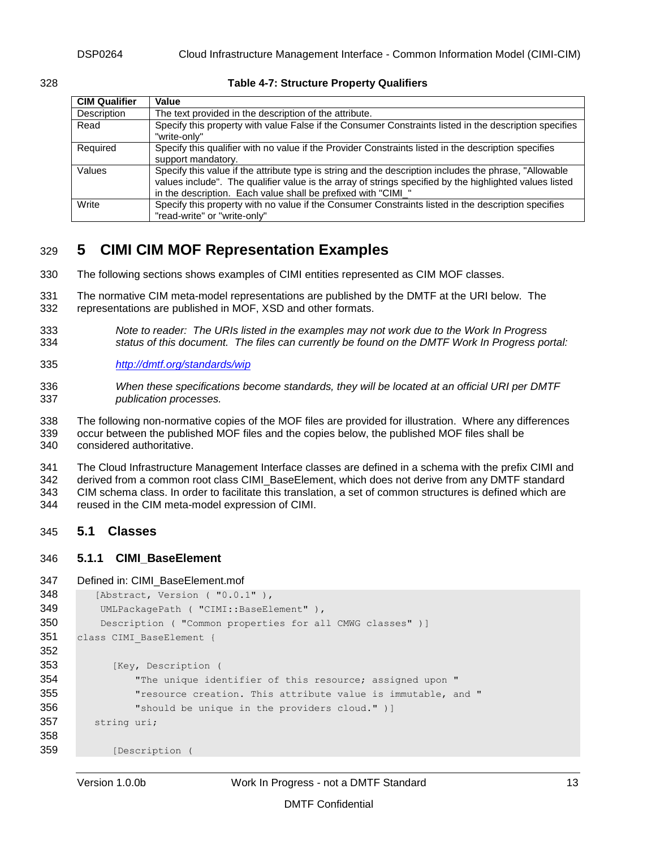#### **Table 4-7: Structure Property Qualifiers**

<span id="page-12-3"></span>

| <b>CIM Qualifier</b> | Value                                                                                                                                                                                                                                                                              |
|----------------------|------------------------------------------------------------------------------------------------------------------------------------------------------------------------------------------------------------------------------------------------------------------------------------|
| Description          | The text provided in the description of the attribute.                                                                                                                                                                                                                             |
| Read                 | Specify this property with value False if the Consumer Constraints listed in the description specifies<br>"write-only"                                                                                                                                                             |
| Required             | Specify this qualifier with no value if the Provider Constraints listed in the description specifies<br>support mandatory.                                                                                                                                                         |
| Values               | Specify this value if the attribute type is string and the description includes the phrase, "Allowable<br>values include". The qualifier value is the array of strings specified by the highlighted values listed<br>in the description. Each value shall be prefixed with "CIMI_" |
| Write                | Specify this property with no value if the Consumer Constraints listed in the description specifies<br>"read-write" or "write-only"                                                                                                                                                |

### <span id="page-12-0"></span>**5 CIMI CIM MOF Representation Examples**

- The following sections shows examples of CIMI entities represented as CIM MOF classes.
- The normative CIM meta-model representations are published by the DMTF at the URI below. The representations are published in MOF, XSD and other formats.
- *Note to reader: The URIs listed in the examples may not work due to the Work In Progress status of this document. The files can currently be found on the DMTF Work In Progress portal:*
- *<http://dmtf.org/standards/wip>*
- *When these specifications become standards, they will be located at an official URI per DMTF publication processes.*
- The following non-normative copies of the MOF files are provided for illustration. Where any differences occur between the published MOF files and the copies below, the published MOF files shall be considered authoritative.
- The Cloud Infrastructure Management Interface classes are defined in a schema with the prefix CIMI and derived from a common root class CIMI\_BaseElement, which does not derive from any DMTF standard CIM schema class. In order to facilitate this translation, a set of common structures is defined which are reused in the CIM meta-model expression of CIMI.
- <span id="page-12-1"></span>**5.1 Classes**
- <span id="page-12-2"></span>**5.1.1 CIMI\_BaseElement**

```
347 Defined in: CIMI_BaseElement.mof
```

```
348 [Abstract, Version ( "0.0.1" ), 
349 UMLPackagePath ( "CIMI::BaseElement" ), 
350 Description ( "Common properties for all CMWG classes" )]
351 class CIMI BaseElement {
352
353 [Key, Description (
354 "The unique identifier of this resource; assigned upon "
355 "resource creation. This attribute value is immutable, and "
356 "should be unique in the providers cloud." )]
357 string uri;
358
359 [Description (
```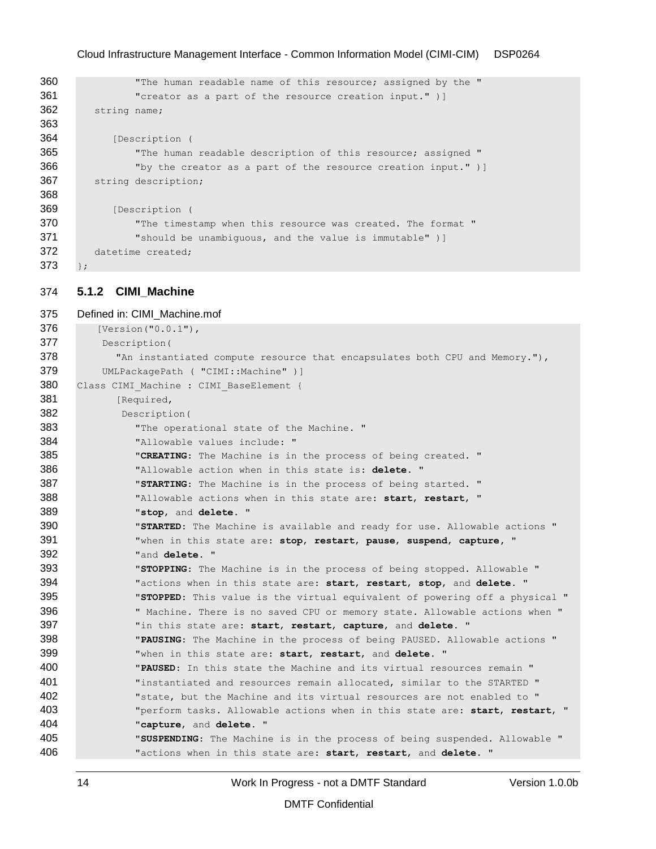```
360 "The human readable name of this resource; assigned by the "
361 "Creator as a part of the resource creation input." )]
362 string name;
363
364 [Description ( 
365 The human readable description of this resource; assigned "
366 "by the creator as a part of the resource creation input." )]
367 string description;
368
369 [Description ( 
370 "The timestamp when this resource was created. The format "
371 "should be unambiguous, and the value is immutable" )]
372 datetime created;
373 };
```
#### <span id="page-13-0"></span>**5.1.2 CIMI\_Machine**

| 375 | Defined in: CIMI_Machine.mof                                                |
|-----|-----------------------------------------------------------------------------|
| 376 | [Version $("0.0.1")$ ,                                                      |
| 377 | Description (                                                               |
| 378 | "An instantiated compute resource that encapsulates both CPU and Memory."), |
| 379 | UMLPackagePath ( "CIMI::Machine" ) ]                                        |
| 380 | Class CIMI Machine : CIMI BaseElement {                                     |
| 381 | [Required,                                                                  |
| 382 | Description (                                                               |
| 383 | "The operational state of the Machine. "                                    |
| 384 | "Allowable values include: "                                                |
| 385 | "CREATING: The Machine is in the process of being created. "                |
| 386 | "Allowable action when in this state is: delete. "                          |
| 387 | "STARTING: The Machine is in the process of being started. "                |
| 388 | "Allowable actions when in this state are: start, restart, "                |
| 389 | "stop, and delete. "                                                        |
| 390 | "STARTED: The Machine is available and ready for use. Allowable actions "   |
| 391 | "when in this state are: stop, restart, pause, suspend, capture, "          |
| 392 | "and delete. "                                                              |
| 393 | "STOPPING: The Machine is in the process of being stopped. Allowable "      |
| 394 | "actions when in this state are: start, restart, stop, and delete. "        |
| 395 | "STOPPED: This value is the virtual equivalent of powering off a physical " |
| 396 | " Machine. There is no saved CPU or memory state. Allowable actions when "  |
| 397 | "in this state are: start, restart, capture, and delete. "                  |
| 398 | "PAUSING: The Machine in the process of being PAUSED. Allowable actions "   |
| 399 | "when in this state are: start, restart, and delete. "                      |
| 400 | "PAUSED: In this state the Machine and its virtual resources remain "       |
| 401 | "instantiated and resources remain allocated, similar to the STARTED "      |
| 402 | "state, but the Machine and its virtual resources are not enabled to "      |
| 403 | "perform tasks. Allowable actions when in this state are: start, restart, " |
| 404 | "capture, and delete. "                                                     |
| 405 | "SUSPENDING: The Machine is in the process of being suspended. Allowable "  |
| 406 | "actions when in this state are: start, restart, and delete. "              |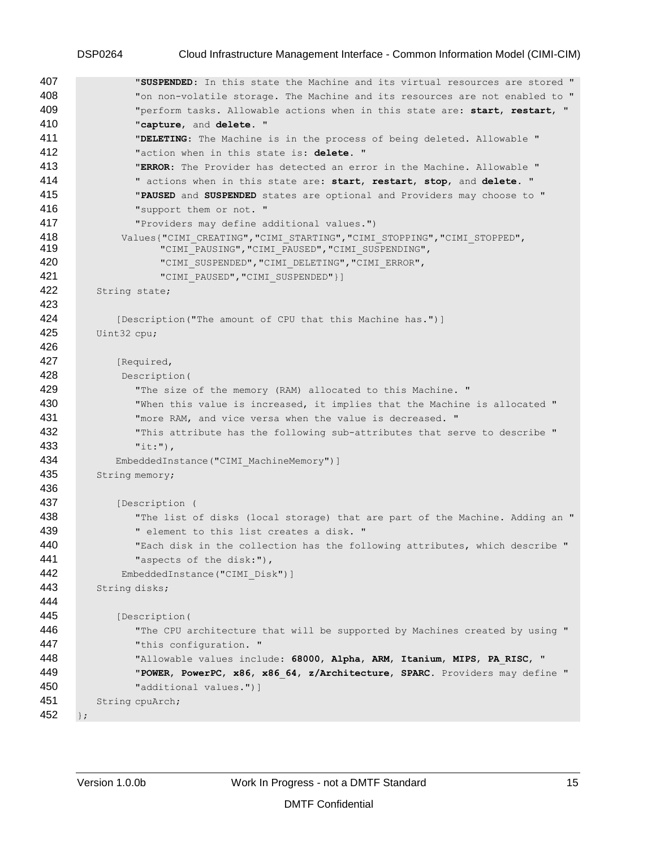DSP0264 Cloud Infrastructure Management Interface - Common Information Model (CIMI-CIM)

```
407 "SUSPENDED: In this state the Machine and its virtual resources are stored "
408 The Machine and its resources are not enabled to "
409 "perform tasks. Allowable actions when in this state are: start, restart, "
410 "capture, and delete. "
411 "DELETING: The Machine is in the process of being deleted. Allowable "
412 "action when in this state is: delete. "
413 "ERROR: The Provider has detected an error in the Machine. Allowable "
414 " actions when in this state are: start, restart, stop, and delete. "
415 "PAUSED and SUSPENDED states are optional and Providers may choose to "
416 "support them or not. "
417 "Providers may define additional values.")
418 Values{"CIMI_CREATING","CIMI_STARTING","CIMI_STOPPING","CIMI_STOPPED",
419 "CIMI_PAUSING","CIMI_PAUSED","CIMI_SUSPENDING",
420 "CIMI_SUSPENDED","CIMI_DELETING","CIMI_ERROR",
421 "CIMI PAUSED", "CIMI SUSPENDED"}]
422 String state;
423
424 [Description("The amount of CPU that this Machine has.")]
425 Uint32 cpu;
426
427 [Required,
428 Description(
429 The size of the memory (RAM) allocated to this Machine. "
430 "When this value is increased, it implies that the Machine is allocated "
431 "more RAM, and vice versa when the value is decreased. "
432 This attribute has the following sub-attributes that serve to describe "
433 "it:"),
434 EmbeddedInstance("CIMI_MachineMemory")]
435 String memory;
436
437 [Description (
438 "The list of disks (local storage) that are part of the Machine. Adding an "
439 " element to this list creates a disk. "
440 "Each disk in the collection has the following attributes, which describe "
441 "aspects of the disk:"),
442 EmbeddedInstance("CIMI_Disk")]
443 String disks;
444
445 [Description(
446 "The CPU architecture that will be supported by Machines created by using "
447 "this configuration. "
448 "Allowable values include: 68000, Alpha, ARM, Itanium, MIPS, PA_RISC, "
449 "POWER, PowerPC, x86, x86_64, z/Architecture, SPARC. Providers may define "
450 "additional values.")]
451 String cpuArch;
452 };
```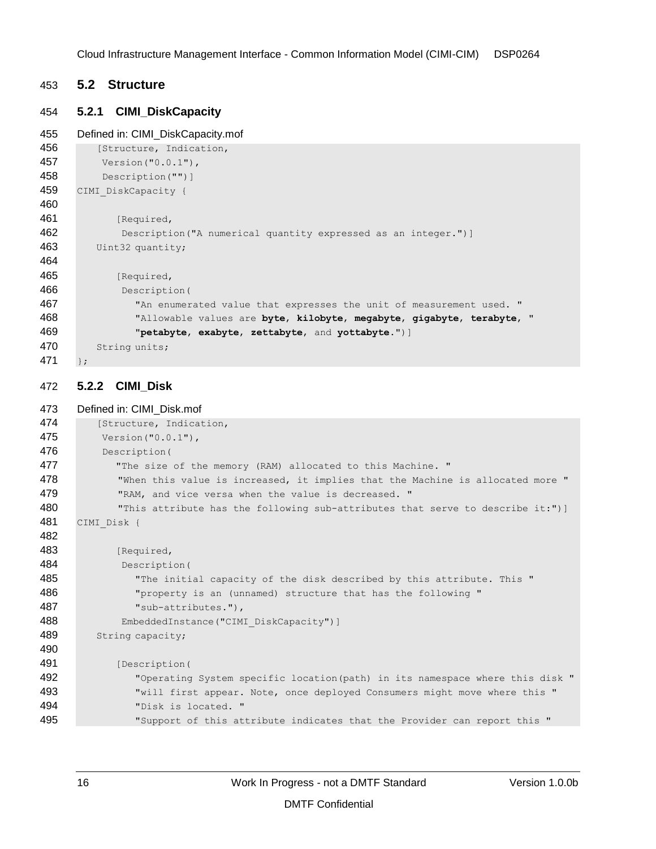#### <span id="page-15-1"></span><span id="page-15-0"></span>453 **5.2 Structure**

```
454 5.2.1 CIMI_DiskCapacity
```

```
455 Defined in: CIMI_DiskCapacity.mof
456 [Structure, Indication,
457 Version("0.0.1"),
458 Description("")] 
459 CIMI DiskCapacity {
460
461 [Required,
462 Description("A numerical quantity expressed as an integer.")]
463 Uint32 quantity;
464
465 [Required,
466 Description(
467 "An enumerated value that expresses the unit of measurement used. "
468 "Allowable values are byte, kilobyte, megabyte, gigabyte, terabyte, "
469 "petabyte, exabyte, zettabyte, and yottabyte.")]
470 String units;
```

```
471 };
```
#### <span id="page-15-2"></span>472 **5.2.2 CIMI\_Disk**

```
473 Defined in: CIMI_Disk.mof
474 [Structure, Indication,
475 Version("0.0.1"), 
476 Description(
477 The size of the memory (RAM) allocated to this Machine. "
478 "When this value is increased, it implies that the Machine is allocated more "
479 "RAM, and vice versa when the value is decreased. "
480 "This attribute has the following sub-attributes that serve to describe it:")]
481 CIMI_Disk {
482
483 [Required,
484 Description(
485 The initial capacity of the disk described by this attribute. This "
486 "property is an (unnamed) structure that has the following "
487 "sub-attributes."),
488 EmbeddedInstance("CIMI_DiskCapacity")]
489 String capacity;
490
491 [Description(
492 "Operating System specific location (path) in its namespace where this disk "
493 "will first appear. Note, once deployed Consumers might move where this
494 "Disk is located. "
495 "Support of this attribute indicates that the Provider can report this "
```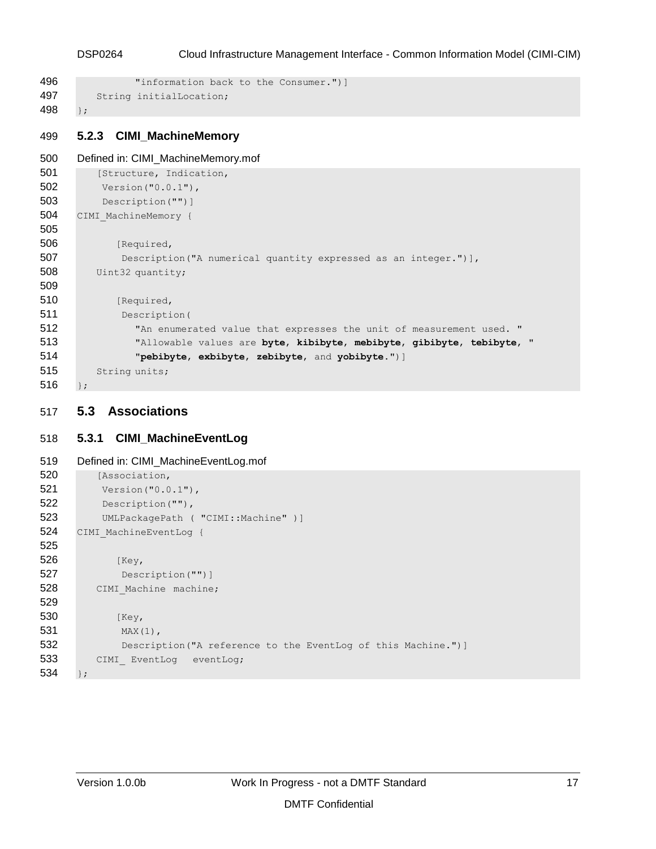```
496 "information back to the Consumer.")]
497 String initialLocation;
498 };
499 5.2.3 CIMI_MachineMemory
500 Defined in: CIMI_MachineMemory.mof
501 [Structure, Indication,
502 Version("0.0.1"),
503 Description("")]
504 CIMI MachineMemory {
505
506 [Required,
507 Description("A numerical quantity expressed as an integer.")],
508 Uint32 quantity;
509
510 [Required,
511 Description(
512 "An enumerated value that expresses the unit of measurement used. "
513 "Allowable values are byte, kibibyte, mebibyte, gibibyte, tebibyte, "
514 "pebibyte, exbibyte, zebibyte, and yobibyte.")]
515 String units;
516 \vert;
```
#### <span id="page-16-1"></span>517 **5.3 Associations**

#### <span id="page-16-2"></span>518 **5.3.1 CIMI\_MachineEventLog**

```
519 Defined in: CIMI_MachineEventLog.mof
520 [Association,
521 Version("0.0.1"), 
522 Description(""), 
523 UMLPackagePath ( "CIMI::Machine" ) ]
524 CIMI MachineEventLog {
525
526 [Key,
527 Description("")]
528 CIMI Machine machine;
529
530 [Key,
531 MAX(1),
532 Description("A reference to the EventLog of this Machine.")]
533 CIMI EventLog eventLog;
534 };
```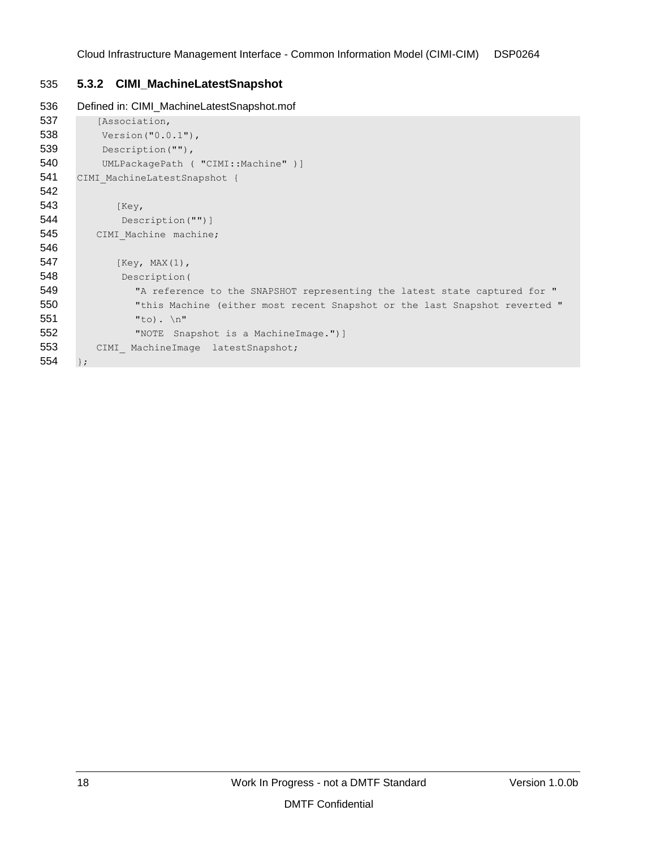#### <span id="page-17-0"></span>535 **5.3.2 CIMI\_MachineLatestSnapshot**

```
536 Defined in: CIMI_MachineLatestSnapshot.mof
537 [Association,
538 Version("0.0.1"), 
539 Description(""), 
540 UMLPackagePath ( "CIMI:: Machine" ) ]
541 CIMI MachineLatestSnapshot {
542
543 [Key,
544 Description("")]
545 CIMI Machine machine;
546
547 [Key, MAX(1),
548 Description(
549 "A reference to the SNAPSHOT representing the latest state captured for "
550 "this Machine (either most recent Snapshot or the last Snapshot reverted "
551 "to). \ln"552 "NOTE Snapshot is a MachineImage.")]
553 CIMI MachineImage latestSnapshot;
554 };
```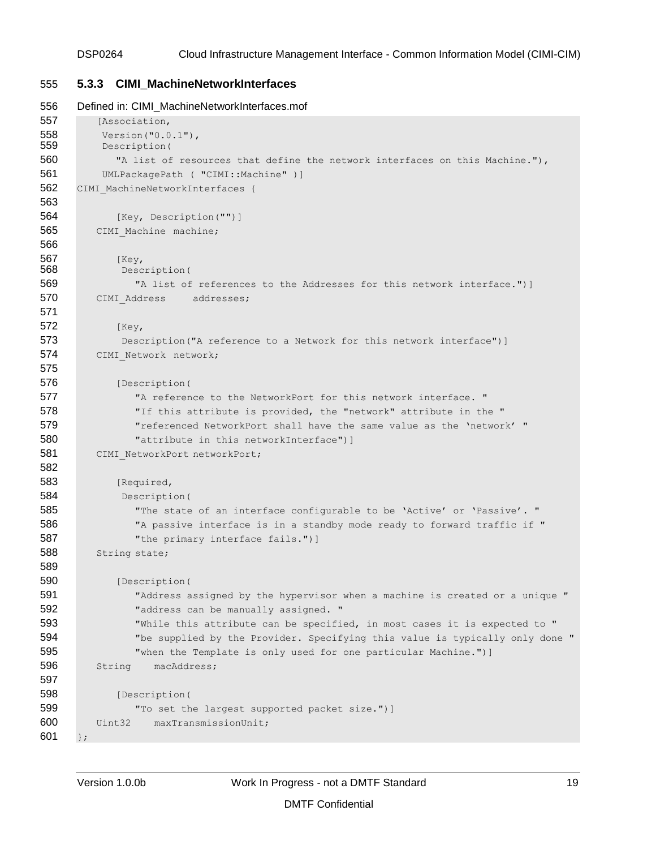#### <span id="page-18-0"></span>555 **5.3.3 CIMI\_MachineNetworkInterfaces**

```
556 Defined in: CIMI_MachineNetworkInterfaces.mof
557 [Association,
558 Version("0.0.1"), 
559 Description(
560 "A list of resources that define the network interfaces on this Machine."),
561 UMLPackagePath ( "CIMI::Machine" ) ]
562 CIMI MachineNetworkInterfaces {
563
564 [Key, Description("")]
565 CIMI Machine machine;
566
567 [Key,
568 Description(
569 "A list of references to the Addresses for this network interface.")]
570 CIMI Address addresses;
571
572 [Key,
573 Description("A reference to a Network for this network interface")]
574 CIMI Network network;
575
576 [Description (
577 The Matter who reference to the NetworkPort for this network interface. "
578 "If this attribute is provided, the "network" attribute in the "
579 "referenced NetworkPort shall have the same value as the 'network' "
580 "attribute in this networkInterface")]
581 CIMI NetworkPort networkPort;
582
583 [Required,
584 Description(
585 "The state of an interface configurable to be 'Active' or 'Passive'. "
586 "A passive interface is in a standby mode ready to forward traffic if "
587 "the primary interface fails.")]
588 String state;
589
590 [Description (
591 "Address assigned by the hypervisor when a machine is created or a unique "
592 "address can be manually assigned. "
593 "While this attribute can be specified, in most cases it is expected to "
594 "be supplied by the Provider. Specifying this value is typically only done "
595 "when the Template is only used for one particular Machine.")]
596 String macAddress;
597
598 [Description(
599 The "To set the largest supported packet size.")]
600 Uint32 maxTransmissionUnit;
601 };
```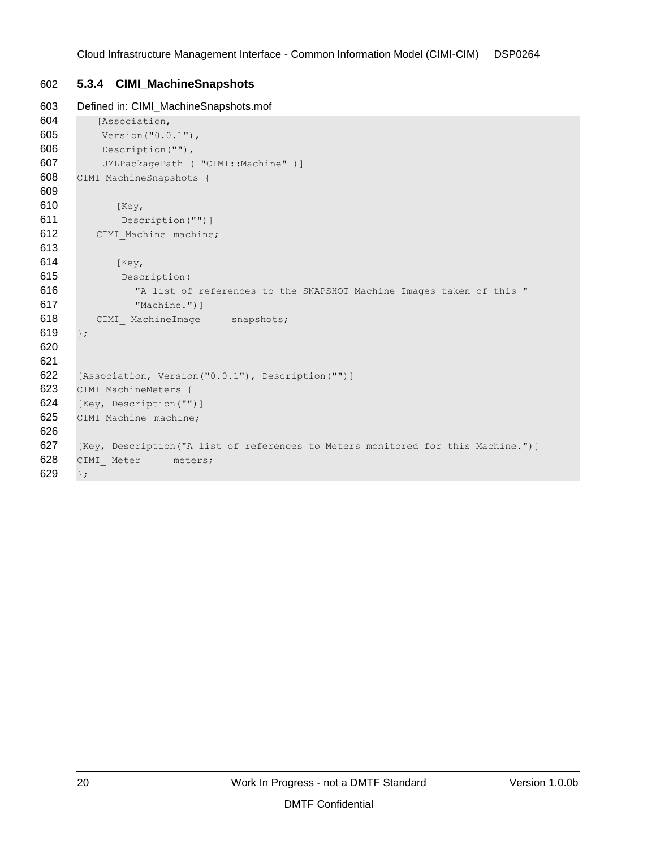#### <span id="page-19-0"></span>**5.3.4 CIMI\_MachineSnapshots**

```
603 Defined in: CIMI_MachineSnapshots.mof
604 [Association, 
605 Version("0.0.1"), 
606 Description(""), 
607 UMLPackagePath ( "CIMI:: Machine" ) ]
608 CIMI MachineSnapshots {
609
610 [Key,
611 Description("")]
612 CIMI Machine machine;
613
614 [Key,
615 Description(
616 "A list of references to the SNAPSHOT Machine Images taken of this "
617 "Machine.")]
618 CIMI MachineImage snapshots;
619 };
620
621
622 [Association, Version("0.0.1"), Description("")]
623 CIMI MachineMeters {
624 [Key, Description("")]
625 CIMI Machine machine;
626
627 [Key, Description("A list of references to Meters monitored for this Machine.")]
628 CIMI Meter meters;
629 };
```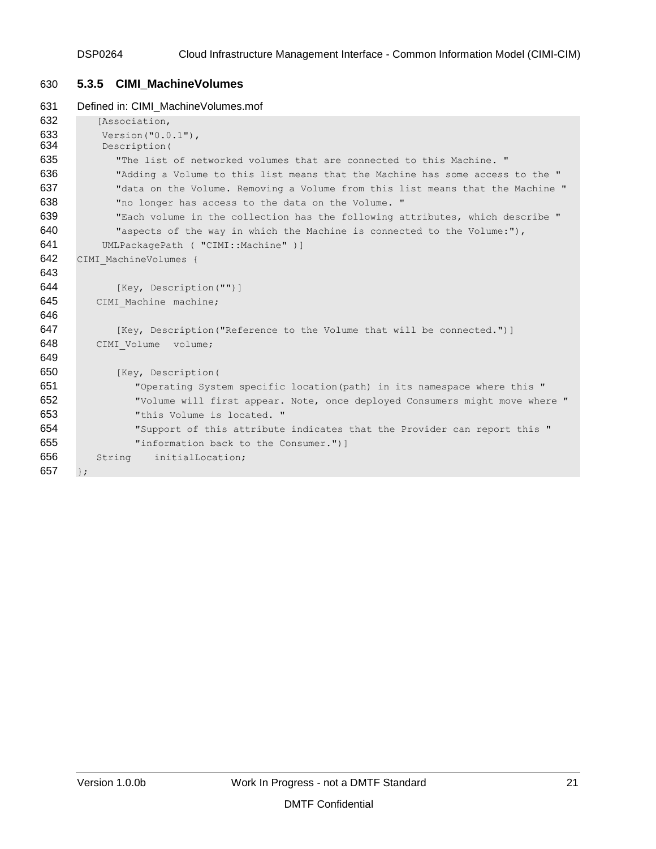<span id="page-20-0"></span>DSP0264 Cloud Infrastructure Management Interface - Common Information Model (CIMI-CIM)

#### 630 **5.3.5 CIMI\_MachineVolumes**

| 631        | Defined in: CIMI_MachineVolumes.mof                                            |  |  |  |
|------------|--------------------------------------------------------------------------------|--|--|--|
| 632        | [Association,                                                                  |  |  |  |
| 633<br>634 | Version $("0.0.1")$ ,<br>Description (                                         |  |  |  |
| 635        | "The list of networked volumes that are connected to this Machine. "           |  |  |  |
| 636        | "Adding a Volume to this list means that the Machine has some access to the "  |  |  |  |
| 637        | "data on the Volume. Removing a Volume from this list means that the Machine " |  |  |  |
| 638        | "no longer has access to the data on the Volume. "                             |  |  |  |
| 639        | "Each volume in the collection has the following attributes, which describe "  |  |  |  |
| 640        | "aspects of the way in which the Machine is connected to the Volume:"),        |  |  |  |
| 641        | UMLPackagePath ( "CIMI::Machine" ) ]                                           |  |  |  |
| 642        | CIMI MachineVolumes {                                                          |  |  |  |
| 643        |                                                                                |  |  |  |
| 644        | [Key, Description("")]                                                         |  |  |  |
| 645        | CIMI Machine machine;                                                          |  |  |  |
| 646        |                                                                                |  |  |  |
| 647        | [Key, Description ("Reference to the Volume that will be connected.")]         |  |  |  |
| 648        | CIMI Volume volume;                                                            |  |  |  |
| 649        |                                                                                |  |  |  |
| 650        | [Key, Description(                                                             |  |  |  |
| 651        | "Operating System specific location (path) in its namespace where this "       |  |  |  |
| 652        | "Volume will first appear. Note, once deployed Consumers might move where "    |  |  |  |
| 653        | "this Volume is located. "                                                     |  |  |  |
| 654        | "Support of this attribute indicates that the Provider can report this "       |  |  |  |
| 655        | "information back to the Consumer.")]                                          |  |  |  |
| 656        | String<br>initialLocation;                                                     |  |  |  |
| 657        | $\}$ ;                                                                         |  |  |  |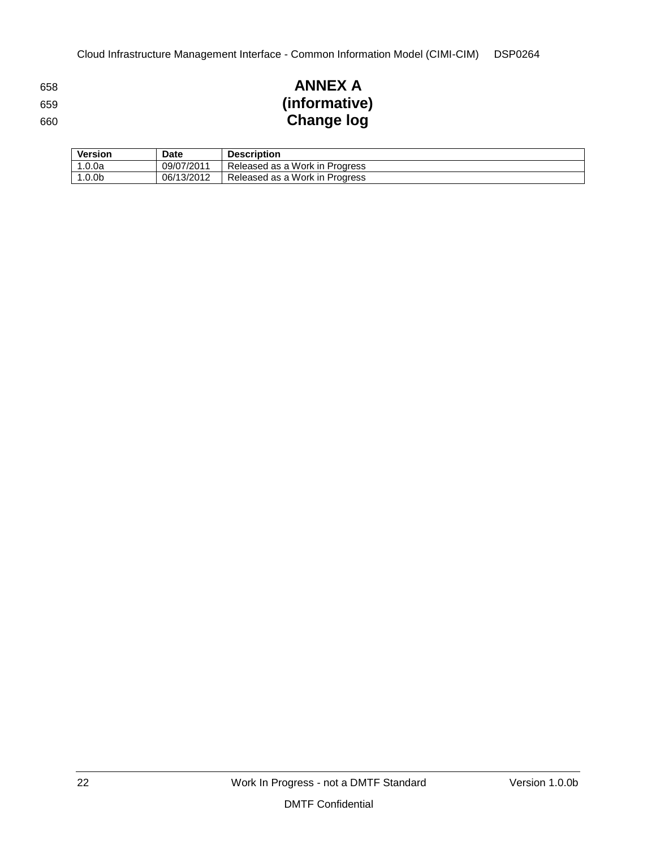| <b>ANNEX A</b>    | 658 |
|-------------------|-----|
| (informative)     | 659 |
| <b>Change log</b> | 660 |
|                   |     |

| <b>Version</b>     | Date       | <b>Description</b>             |
|--------------------|------------|--------------------------------|
| 1.0.0a             | 09/07/2011 | Released as a Work in Progress |
| 1.0.0 <sub>b</sub> | 06/13/2012 | Released as a Work in Progress |